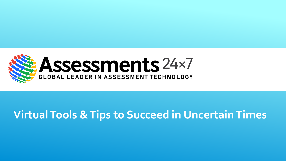

### **Virtual Tools & Tips to Succeed in Uncertain Times**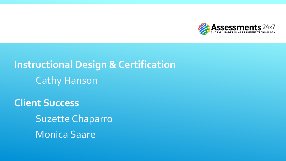

### **Instructional Design & Certification** Cathy Hanson

**Client Success** Suzette Chaparro Monica Saare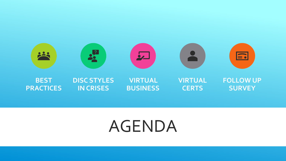

## AGENDA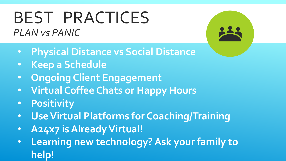## BEST PRACTICES *PLAN vs PANIC*

• **Physical Distance vs Social Distance**

- **Keep a Schedule**
- **Ongoing Client Engagement**
- **Virtual Coffee Chats or Happy Hours**
- **Positivity**
- **Use Virtual Platforms for Coaching/Training**
- **A24x7 is Already Virtual!**
- **Learning new technology? Ask your family to help!**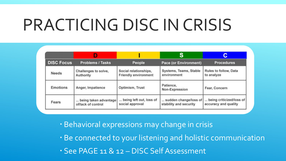# PRACTICING DISC IN CRISIS

|                   |                                             |                                                      | S                                               | С                                                |
|-------------------|---------------------------------------------|------------------------------------------------------|-------------------------------------------------|--------------------------------------------------|
| <b>DISC Focus</b> | <b>Problems / Tasks</b>                     | People                                               | <b>Pace (or Environment)</b>                    | <b>Procedures</b>                                |
| <b>Needs</b>      | Challenges to solve,<br>Authority           | Social relationships,<br><b>Friendly environment</b> | Systems, Teams, Stable<br>environment           | Rules to follow, Data<br>to analyze              |
| <b>Emotions</b>   | Anger, Impatience                           | Optimism, Trust                                      | Patience,<br>Non-Expression                     | Fear, Concern                                    |
| Fears             | being taken advantage<br>of/lack of control | being left out, loss of<br>social approval           | sudden change/loss of<br>stability and security | being criticized/loss of<br>accuracy and quality |

Behavioral expressions may change in crisis

Be connected to your listening and holistic communication

See PAGE 11 & 12 – DISC Self Assessment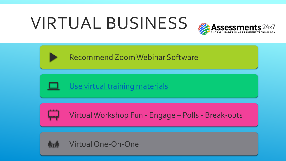# VIRTUAL BUSINESS



Recommend Zoom Webinar Software



Use virtual training materials



Virtual Workshop Fun - Engage – Polls - Break-outs



Virtual One-On-One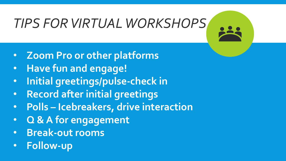# *TIPS FOR VIRTUAL WORKSHOPS*

- **Zoom Pro or other platforms**
- **Have fun and engage!**
- **Initial greetings/pulse-check in**
- **Record after initial greetings**
- **Polls – Icebreakers, drive interaction**
- **Q & A for engagement**
- **Break-out rooms**
- **Follow-up**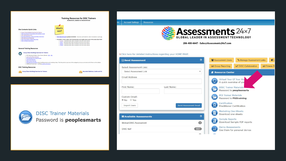



**DISC Trainer Materials** Password is **peoplesmarts** 

| Click here for detailed instructions regarding your HOME PAGE. |                              |                           |                            |                                             |                                                           |                      |
|----------------------------------------------------------------|------------------------------|---------------------------|----------------------------|---------------------------------------------|-----------------------------------------------------------|----------------------|
| <b>⊠Send Assessment</b>                                        |                              | $^{\circ}$                | Assessment Users           |                                             | <b>% Manage Assessment Links</b>                          | G <sub>1</sub>       |
| Select Assessment Link:                                        |                              |                           | <b>III</b> Group Reporting |                                             | DISC Collaboration                                        | <b>III</b> Fitness R |
| Select Assessment Link                                         |                              | $\boldsymbol{\mathrm{v}}$ | <b>A</b> Resource Center   |                                             |                                                           |                      |
| <b>Email Address</b>                                           |                              |                           |                            |                                             | Virtual Tour Of Your Acc<br>A quick overview of you       |                      |
| First Name:                                                    | Last Name:                   |                           |                            |                                             | <b>DISC Trainer Materials</b><br>Password is peoplesmarts |                      |
| Custom Email:<br>$@$ No $@$ Yes                                |                              |                           |                            | <b>PGI Trainer Materials</b>                | Password is PGItraining                                   |                      |
| Import Users                                                   | <b>Send Assessment Email</b> |                           |                            | Certification                               | <b>Practitioner Certification</b>                         |                      |
| E Available Assessments                                        |                              | $\odot$                   | 隢                          | Marketing One-Sheets<br>Download one-sheets |                                                           |                      |
| <b>Biblical DISC Assessment</b>                                |                              | $\bullet$                 |                            | Sample Reports                              | Download Sample PDF reports                               |                      |
| <b>DISC Self</b>                                               |                              | 10021                     | <b>TH</b>                  | Demo Assessments                            | Use them for personal demos                               |                      |
|                                                                |                              |                           |                            |                                             |                                                           |                      |

**Account Settings** Resources



206-400-6647 - Sales@Assessments24x7.com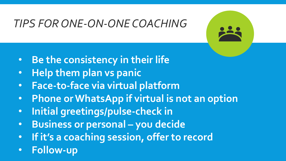### *TIPS FOR ONE-ON-ONE COACHING*

- **Be the consistency in their life**
- **Help them plan vs panic**
- **Face-to-face via virtual platform**
- **Phone or WhatsApp if virtual is not an option**
- **Initial greetings/pulse-check in**
- **Business or personal – you decide**
- **If it's a coaching session, offer to record**
- **Follow-up**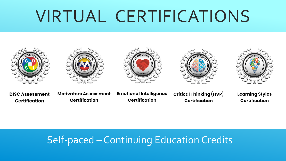# VIRTUAL CERTIFICATIONS











**DISC Assessment Certification** 

**Motivators Assessment Certification** 

**Emotional Intelligence Certification** 

**Critical Thinking (HVP) Certification** 

**Learning Styles Certification** 

#### Self-paced – Continuing Education Credits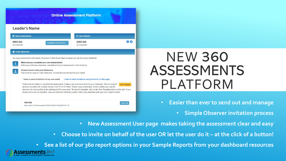#### **Online Assessment Platform**

#### **Leader's Name**

| <b>E</b> Your Assessments |                     | <b>A</b> Your Reports |  |
|---------------------------|---------------------|-----------------------|--|
| <b>DISC360</b>            | Complete Assessment | <b>DISC360</b>        |  |
| NOT STARTED               |                     | NOT STARTED           |  |

#### **替 Invite Observers**

You have assessments that require Observers. Follow these steps to ensure you get the proper feedback!

| Make sure you complete your own assessments!                                                                                                                                                                                   |
|--------------------------------------------------------------------------------------------------------------------------------------------------------------------------------------------------------------------------------|
| the contract of the contract of the contract of the contract of the contract of the contract of the contract of the contract of the contract of the contract of the contract of the contract of the contract of the contract o |

Before you invite any observers, complete all of your assessments in the list above.

Choose how to invite your Observers. There are two ways to invite Observers, choose the one that best fits your needs.

I want to send invitations via my own email. I want to send invitations using the form on this page.

Invite observers/raters to complete the assessment. Create a new email and send it to your observers. We recommend View Template sending one email with multiple names in the TO or CC fields. Simply copy our template, which contains your specific observer link, and use this as the starting point for your email. To view the template, click on the View Template button on the right. If you choose not to use our template, copy your observer link below, paste it into a new email and write your own custom content

| <b>DISC360</b>                                          |  |
|---------------------------------------------------------|--|
| https://a24x7.co/EndUserAdmin/?V)E%2c%60!+%3aOB3%7d1==R |  |

### NEW 360 ASSESSMENTS PLATFORM

- **Easier than ever to send out and manage**
	- **Simple Observer invitation process**
- **New Assessment User page makes taking the assessment clear and easy**
- **Choose to invite on behalf of the user OR let the user do it – at the click of a button!**

• **See a list of our 360 report options in your Sample Reports from your dashboard resources**

**00**